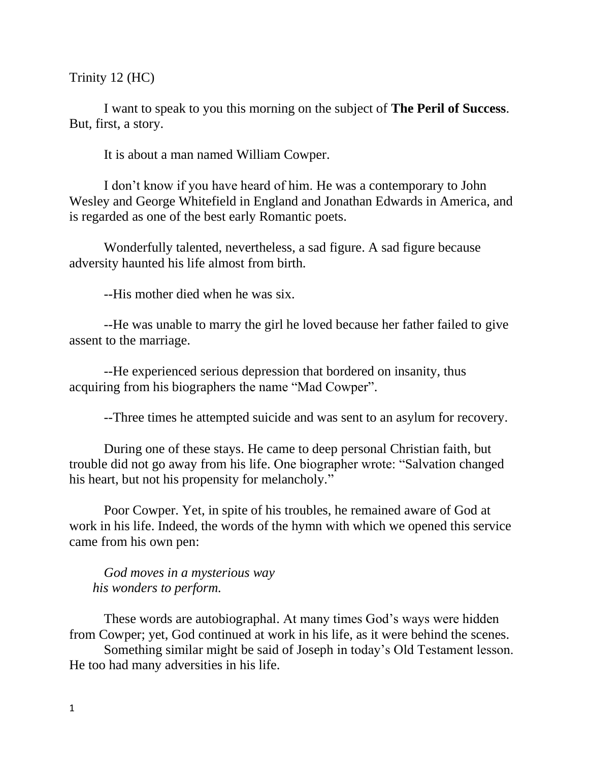Trinity 12 (HC)

I want to speak to you this morning on the subject of **The Peril of Success**. But, first, a story.

It is about a man named William Cowper.

I don't know if you have heard of him. He was a contemporary to John Wesley and George Whitefield in England and Jonathan Edwards in America, and is regarded as one of the best early Romantic poets.

Wonderfully talented, nevertheless, a sad figure. A sad figure because adversity haunted his life almost from birth.

--His mother died when he was six.

--He was unable to marry the girl he loved because her father failed to give assent to the marriage.

--He experienced serious depression that bordered on insanity, thus acquiring from his biographers the name "Mad Cowper".

--Three times he attempted suicide and was sent to an asylum for recovery.

During one of these stays. He came to deep personal Christian faith, but trouble did not go away from his life. One biographer wrote: "Salvation changed his heart, but not his propensity for melancholy."

Poor Cowper. Yet, in spite of his troubles, he remained aware of God at work in his life. Indeed, the words of the hymn with which we opened this service came from his own pen:

*God moves in a mysterious way his wonders to perform.*

These words are autobiographal. At many times God's ways were hidden from Cowper; yet, God continued at work in his life, as it were behind the scenes.

Something similar might be said of Joseph in today's Old Testament lesson. He too had many adversities in his life.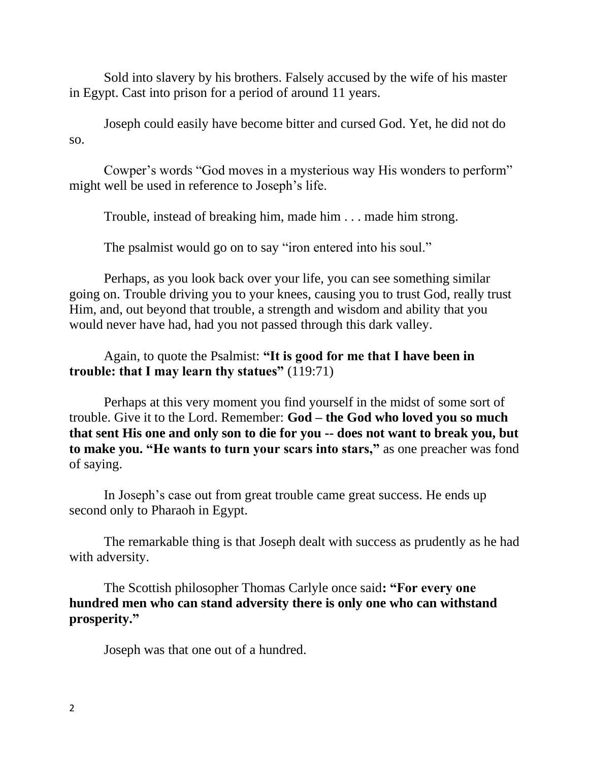Sold into slavery by his brothers. Falsely accused by the wife of his master in Egypt. Cast into prison for a period of around 11 years.

Joseph could easily have become bitter and cursed God. Yet, he did not do so.

Cowper's words "God moves in a mysterious way His wonders to perform" might well be used in reference to Joseph's life.

Trouble, instead of breaking him, made him . . . made him strong.

The psalmist would go on to say "iron entered into his soul."

Perhaps, as you look back over your life, you can see something similar going on. Trouble driving you to your knees, causing you to trust God, really trust Him, and, out beyond that trouble, a strength and wisdom and ability that you would never have had, had you not passed through this dark valley.

## Again, to quote the Psalmist: **"It is good for me that I have been in trouble: that I may learn thy statues"** (119:71)

Perhaps at this very moment you find yourself in the midst of some sort of trouble. Give it to the Lord. Remember: **God – the God who loved you so much that sent His one and only son to die for you -- does not want to break you, but to make you. "He wants to turn your scars into stars,"** as one preacher was fond of saying.

In Joseph's case out from great trouble came great success. He ends up second only to Pharaoh in Egypt.

The remarkable thing is that Joseph dealt with success as prudently as he had with adversity.

The Scottish philosopher Thomas Carlyle once said**: "For every one hundred men who can stand adversity there is only one who can withstand prosperity."**

Joseph was that one out of a hundred.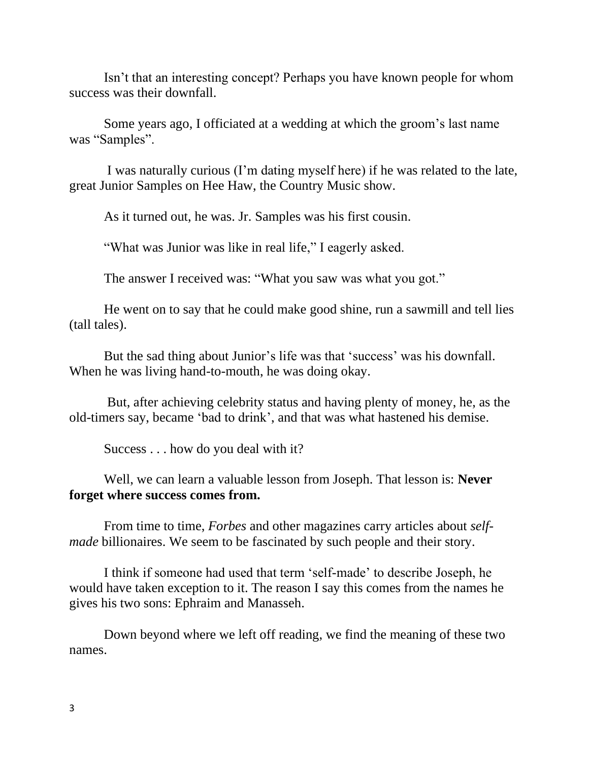Isn't that an interesting concept? Perhaps you have known people for whom success was their downfall.

Some years ago, I officiated at a wedding at which the groom's last name was "Samples".

I was naturally curious (I'm dating myself here) if he was related to the late, great Junior Samples on Hee Haw, the Country Music show.

As it turned out, he was. Jr. Samples was his first cousin.

"What was Junior was like in real life," I eagerly asked.

The answer I received was: "What you saw was what you got."

He went on to say that he could make good shine, run a sawmill and tell lies (tall tales).

But the sad thing about Junior's life was that 'success' was his downfall. When he was living hand-to-mouth, he was doing okay.

But, after achieving celebrity status and having plenty of money, he, as the old-timers say, became 'bad to drink', and that was what hastened his demise.

Success . . . how do you deal with it?

Well, we can learn a valuable lesson from Joseph. That lesson is: **Never forget where success comes from.**

From time to time, *Forbes* and other magazines carry articles about *selfmade* billionaires. We seem to be fascinated by such people and their story.

I think if someone had used that term 'self-made' to describe Joseph, he would have taken exception to it. The reason I say this comes from the names he gives his two sons: Ephraim and Manasseh.

Down beyond where we left off reading, we find the meaning of these two names.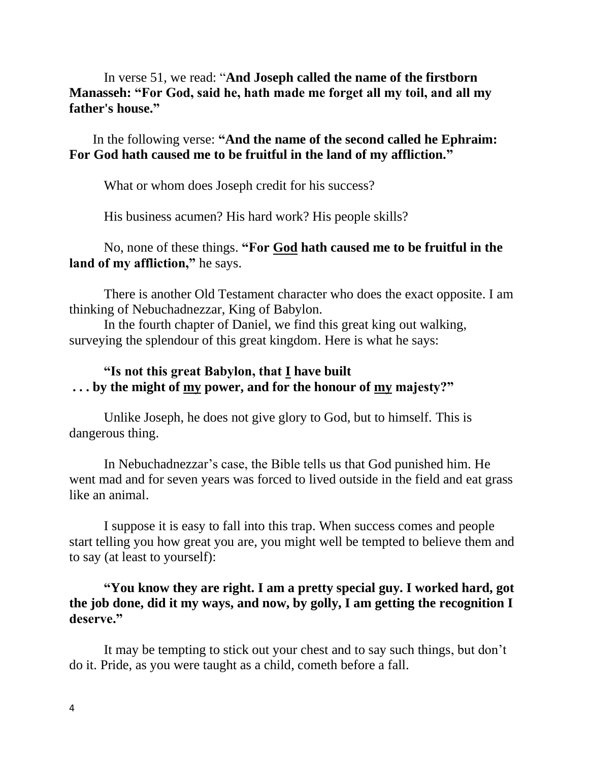In verse 51, we read: "**And Joseph called the name of the firstborn Manasseh: "For God, said he, hath made me forget all my toil, and all my father's house."**

 In the following verse: **"And the name of the second called he Ephraim: For God hath caused me to be fruitful in the land of my affliction."**

What or whom does Joseph credit for his success?

His business acumen? His hard work? His people skills?

## No, none of these things. **"For God hath caused me to be fruitful in the land of my affliction,"** he says.

There is another Old Testament character who does the exact opposite. I am thinking of Nebuchadnezzar, King of Babylon.

In the fourth chapter of Daniel, we find this great king out walking, surveying the splendour of this great kingdom. Here is what he says:

## **"Is not this great Babylon, that I have built . . . by the might of my power, and for the honour of my majesty?"**

Unlike Joseph, he does not give glory to God, but to himself. This is dangerous thing.

In Nebuchadnezzar's case, the Bible tells us that God punished him. He went mad and for seven years was forced to lived outside in the field and eat grass like an animal.

I suppose it is easy to fall into this trap. When success comes and people start telling you how great you are, you might well be tempted to believe them and to say (at least to yourself):

## **"You know they are right. I am a pretty special guy. I worked hard, got the job done, did it my ways, and now, by golly, I am getting the recognition I deserve."**

It may be tempting to stick out your chest and to say such things, but don't do it. Pride, as you were taught as a child, cometh before a fall.